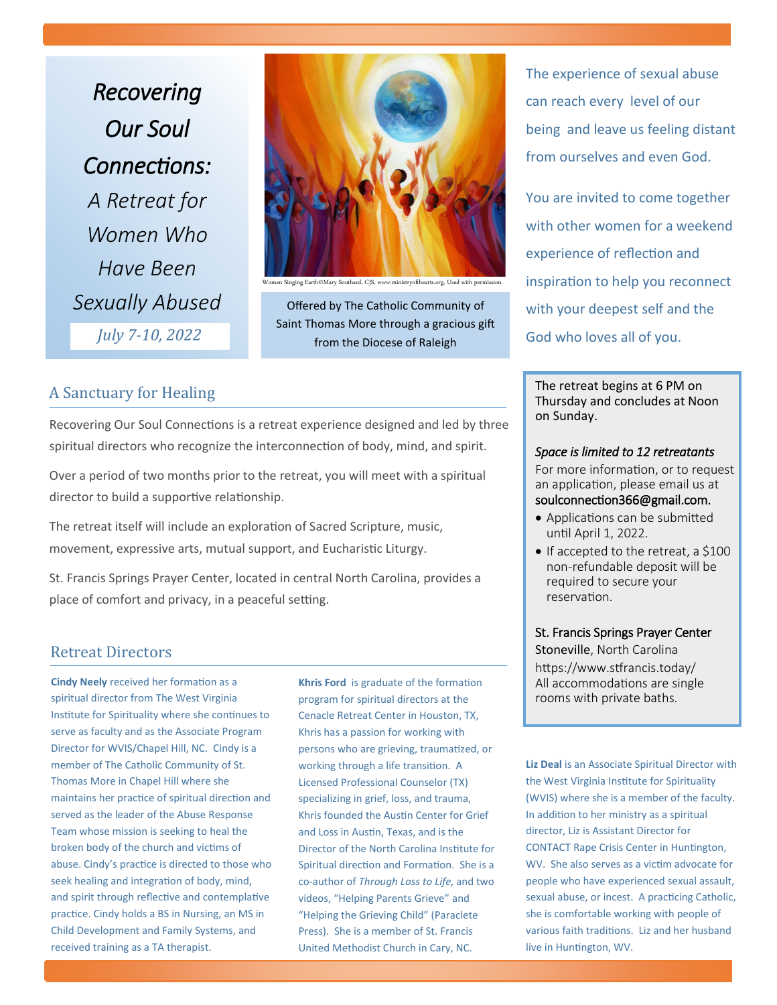*Recovering Our Soul Connections: A Retreat for Women Who Have Been Sexually Abused July 7-10, 2022*

n Singing Earth©Mary Southard, CJS, www.ministryofthearts.org. Used with permissi

Offered by The Catholic Community of Saint Thomas More through a gracious gift from the Diocese of Raleigh

# A Sanctuary for Healing

Recovering Our Soul Connections is a retreat experience designed and led by three spiritual directors who recognize the interconnection of body, mind, and spirit.

Over a period of two months prior to the retreat, you will meet with a spiritual director to build a supportive relationship.

The retreat itself will include an exploration of Sacred Scripture, music, movement, expressive arts, mutual support, and Eucharistic Liturgy.

St. Francis Springs Prayer Center, located in central North Carolina, provides a place of comfort and privacy, in a peaceful setting.

# Retreat Directors

**Cindy Neely** received her formation as a spiritual director from The West Virginia Institute for Spirituality where she continues to serve as faculty and as the Associate Program Director for WVIS/Chapel Hill, NC. Cindy is a member of The Catholic Community of St. Thomas More in Chapel Hill where she maintains her practice of spiritual direction and served as the leader of the Abuse Response Team whose mission is seeking to heal the broken body of the church and victims of abuse. Cindy's practice is directed to those who seek healing and integration of body, mind, and spirit through reflective and contemplative practice. Cindy holds a BS in Nursing, an MS in Child Development and Family Systems, and received training as a TA therapist.

**Khris Ford** is graduate of the formation program for spiritual directors at the Cenacle Retreat Center in Houston, TX, Khris has a passion for working with persons who are grieving, traumatized, or working through a life transition. A Licensed Professional Counselor (TX) specializing in grief, loss, and trauma, Khris founded the Austin Center for Grief and Loss in Austin, Texas, and is the Director of the North Carolina Institute for Spiritual direction and Formation. She is a co-author of *Through Loss to Life,* and two videos, "Helping Parents Grieve" and "Helping the Grieving Child" (Paraclete Press). She is a member of St. Francis United Methodist Church in Cary, NC.

The experience of sexual abuse can reach every level of our being and leave us feeling distant from ourselves and even God.

You are invited to come together with other women for a weekend experience of reflection and inspiration to help you reconnect with your deepest self and the God who loves all of you.

The retreat begins at 6 PM on Thursday and concludes at Noon on Sunday.

### *Space is limited to 12 retreatants*

For more information, or to request an application, please email us at soulconnection366@gmail.com.

- Applications can be submitted until April 1, 2022.
- If accepted to the retreat, a \$100 non-refundable deposit will be required to secure your reservation.

#### St. Francis Springs Prayer Center

Stoneville, North Carolina https://www.stfrancis.today/ All accommodations are single rooms with private baths.

**Liz Deal** is an Associate Spiritual Director with the West Virginia Institute for Spirituality (WVIS) where she is a member of the faculty. In addition to her ministry as a spiritual director, Liz is Assistant Director for CONTACT Rape Crisis Center in Huntington, WV. She also serves as a victim advocate for people who have experienced sexual assault, sexual abuse, or incest. A practicing Catholic, she is comfortable working with people of various faith traditions. Liz and her husband live in Huntington, WV.